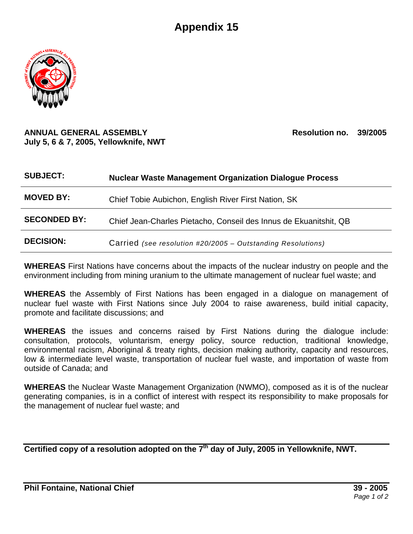## **Appendix 15**



## **ANNUAL GENERAL ASSEMBLY Resolution no. 39/2005 July 5, 6 & 7, 2005, Yellowknife, NWT**

| <b>SUBJECT:</b>     | <b>Nuclear Waste Management Organization Dialogue Process</b>     |
|---------------------|-------------------------------------------------------------------|
| <b>MOVED BY:</b>    | Chief Tobie Aubichon, English River First Nation, SK              |
| <b>SECONDED BY:</b> | Chief Jean-Charles Pietacho, Conseil des Innus de Ekuanitshit, QB |
| <b>DECISION:</b>    | Carried (see resolution #20/2005 – Outstanding Resolutions)       |

**WHEREAS** First Nations have concerns about the impacts of the nuclear industry on people and the environment including from mining uranium to the ultimate management of nuclear fuel waste; and

**WHEREAS** the Assembly of First Nations has been engaged in a dialogue on management of nuclear fuel waste with First Nations since July 2004 to raise awareness, build initial capacity, promote and facilitate discussions; and

**WHEREAS** the issues and concerns raised by First Nations during the dialogue include: consultation, protocols, voluntarism, energy policy, source reduction, traditional knowledge, environmental racism, Aboriginal & treaty rights, decision making authority, capacity and resources, low & intermediate level waste, transportation of nuclear fuel waste, and importation of waste from outside of Canada; and

**WHEREAS** the Nuclear Waste Management Organization (NWMO), composed as it is of the nuclear generating companies, is in a conflict of interest with respect its responsibility to make proposals for the management of nuclear fuel waste; and

Certified copy of a resolution adopted on the 7<sup>th</sup> day of July, 2005 in Yellowknife, NWT.